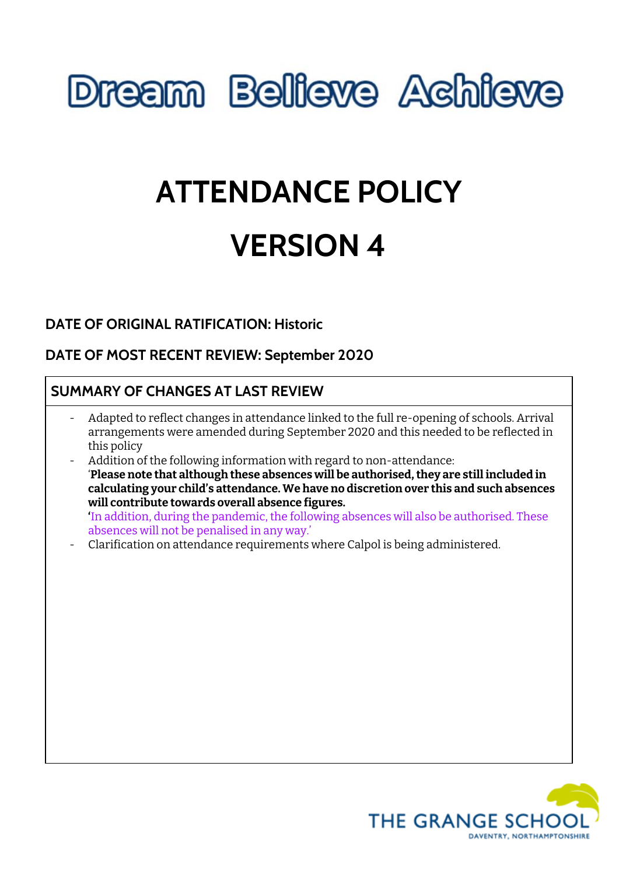# **Dream Believe Achieve**

# **ATTENDANCE POLICY VERSION 4**

# **DATE OF ORIGINAL RATIFICATION: Historic**

# **DATE OF MOST RECENT REVIEW: September 2020**

# **SUMMARY OF CHANGES AT LAST REVIEW**

- Adapted to reflect changes in attendance linked to the full re-opening of schools. Arrival arrangements were amended during September 2020 and this needed to be reflected in this policy
- Addition of the following information with regard to non-attendance: '**Please note that although these absences will be authorised,they are still included in calculating your child's attendance. We have no discretion over this and such absences will contribute towards overall absence figures. '**In addition, during the pandemic, the following absences will also be authorised. These absences will not be penalised in any way.'
- Clarification on attendance requirements where Calpol is being administered.

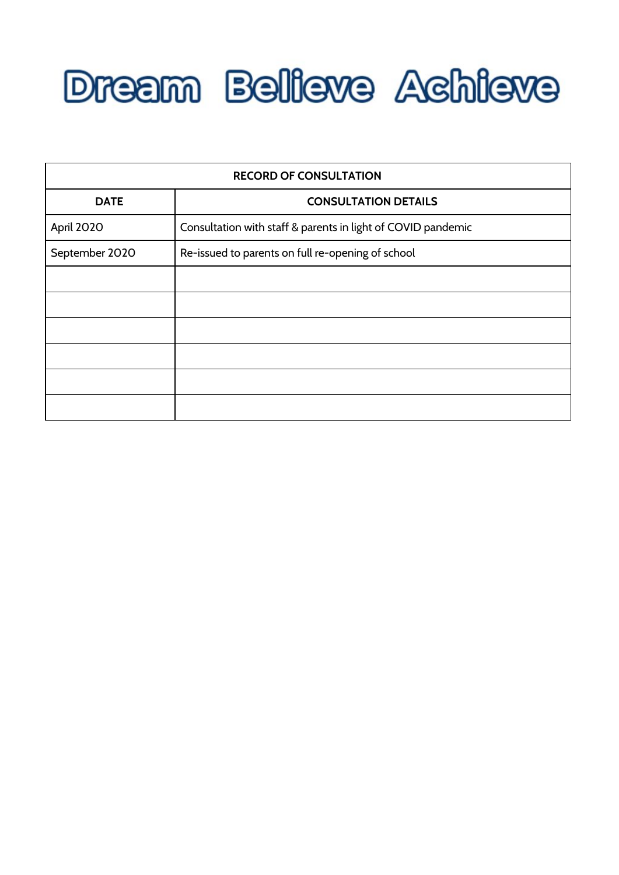

| <b>RECORD OF CONSULTATION</b> |                                                              |
|-------------------------------|--------------------------------------------------------------|
| <b>DATE</b>                   | <b>CONSULTATION DETAILS</b>                                  |
| April 2020                    | Consultation with staff & parents in light of COVID pandemic |
| September 2020                | Re-issued to parents on full re-opening of school            |
|                               |                                                              |
|                               |                                                              |
|                               |                                                              |
|                               |                                                              |
|                               |                                                              |
|                               |                                                              |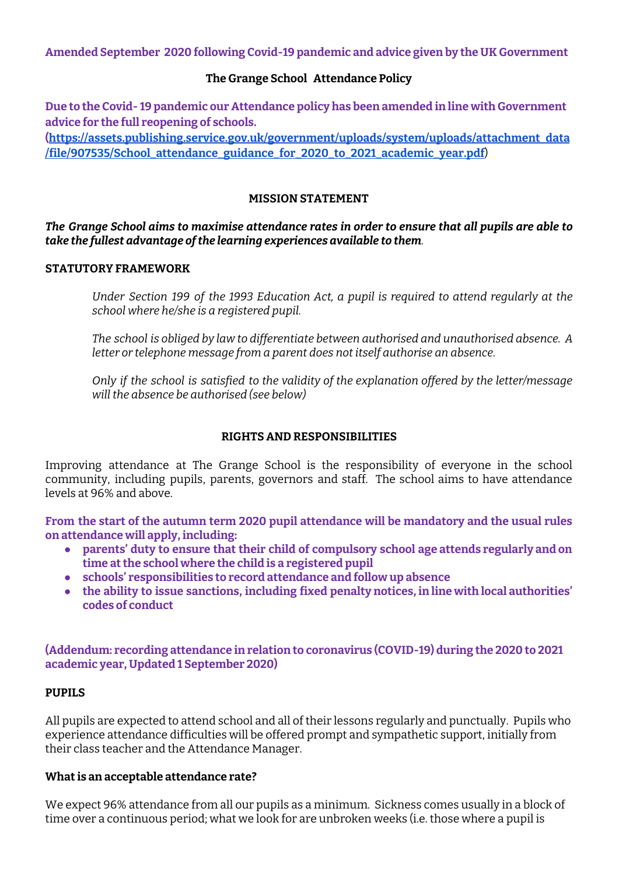**Amended September 2020 following Covid-19 pandemic and advice given by the UK Government**

### **The Grange School Attendance Policy**

**Due to the Covid- 19 pandemic our Attendance policy has been amended in line with Government advice for the full reopening of schools.**

**[\(https://assets.publishing.service.gov.uk/government/uploads/system/uploads/attachment\\_data](https://assets.publishing.service.gov.uk/government/uploads/system/uploads/attachment_data/file/907535/School_attendance_guidance_for_2020_to_2021_academic_year.pdf) [/file/907535/School\\_attendance\\_guidance\\_for\\_2020\\_to\\_2021\\_academic\\_year.pdf](https://assets.publishing.service.gov.uk/government/uploads/system/uploads/attachment_data/file/907535/School_attendance_guidance_for_2020_to_2021_academic_year.pdf)**)

#### **MISSION STATEMENT**

### *The Grange School aims to maximise attendance rates in order to ensure that all pupils are able to take the fullest advantage ofthe learning experiences available to them.*

#### **STATUTORY FRAMEWORK**

*Under Section 199 of the 1993 Education Act, a pupil is required to attend regularly at the school where he/she is a registered pupil.*

*The school is obliged by law to differentiate between authorised and unauthorised absence. A letter or telephone message from a parent does not itself authorise an absence.*

*Only if the school is satisfied to the validity of the explanation offered by the letter/message will the absence be authorised (see below)*

# **RIGHTS AND RESPONSIBILITIES**

Improving attendance at The Grange School is the responsibility of everyone in the school community, including pupils, parents, governors and staff. The school aims to have attendance levels at 96% and above.

**From the start of the autumn term 2020 pupil attendance will be mandatory and the usual rules on attendance will apply, including:**

- **● parents' duty to ensure that their child of compulsory school age attends regularly and on time atthe school where the child is a registered pupil**
- **● schools' responsibilities to record attendance and follow up absence**
- **● the ability to issue sanctions, including fixed penalty notices, in line with local authorities' codes of conduct**

**(Addendum: recording attendance in relation to coronavirus (COVID-19) during the 2020 to 2021 academic year, Updated 1 September 2020)**

# **PUPILS**

All pupils are expected to attend school and all of their lessons regularly and punctually. Pupils who experience attendance difficulties will be offered prompt and sympathetic support, initially from their class teacher and the Attendance Manager.

#### **Whatis an acceptable attendance rate?**

We expect 96% attendance from all our pupils as a minimum. Sickness comes usually in a block of time over a continuous period; what we look for are unbroken weeks (i.e. those where a pupil is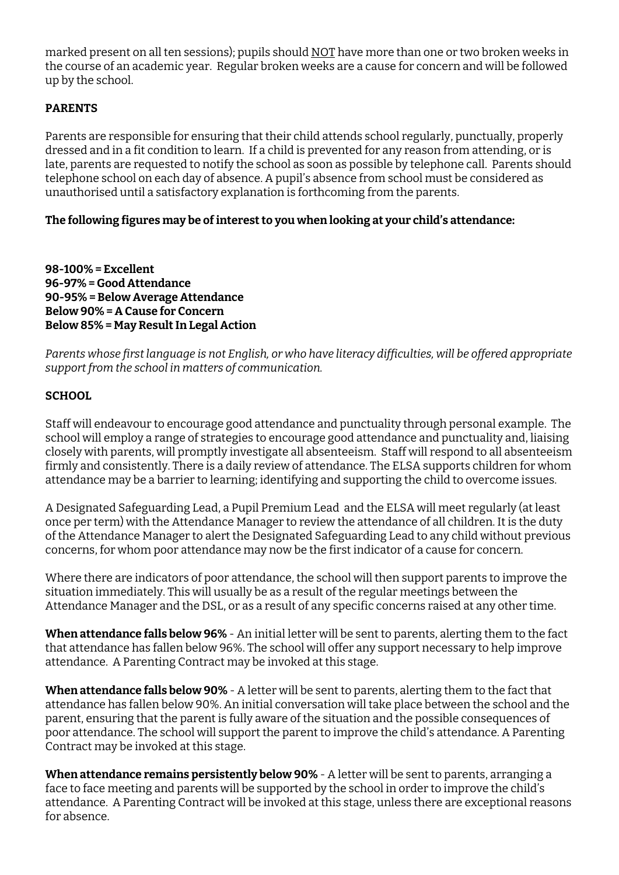marked present on all ten sessions); pupils should NOT have more than one or two broken weeks in the course of an academic year. Regular broken weeks are a cause for concern and will be followed up by the school.

# **PARENTS**

Parents are responsible for ensuring that their child attends school regularly, punctually, properly dressed and in a fit condition to learn. If a child is prevented for any reason from attending, or is late, parents are requested to notify the school as soon as possible by telephone call. Parents should telephone school on each day of absence. A pupil's absence from school must be considered as unauthorised until a satisfactory explanation is forthcoming from the parents.

# **The following figures may be ofinterestto you when looking at your child's attendance:**

**98-100% = Excellent 96-97% = Good Attendance 90-95% = Below Average Attendance Below 90% = A Cause for Concern Below 85% = May ResultIn Legal Action**

*Parents whose first language is not English, or who have literacy difficulties, will be offered appropriate support from the school in matters of communication.*

# **SCHOOL**

Staff will endeavour to encourage good attendance and punctuality through personal example. The school will employ a range of strategies to encourage good attendance and punctuality and, liaising closely with parents, will promptly investigate all absenteeism. Staff will respond to all absenteeism firmly and consistently. There is a daily review of attendance. The ELSA supports children for whom attendance may be a barrier to learning; identifying and supporting the child to overcome issues.

A Designated Safeguarding Lead, a Pupil Premium Lead and the ELSA will meet regularly (at least once per term) with the Attendance Manager to review the attendance of all children. It is the duty of the Attendance Manager to alert the Designated Safeguarding Lead to any child without previous concerns, for whom poor attendance may now be the first indicator of a cause for concern.

Where there are indicators of poor attendance, the school will then support parents to improve the situation immediately. This will usually be as a result of the regular meetings between the Attendance Manager and the DSL, or as a result of any specific concerns raised at any other time.

**When attendance falls below 96%** - An initial letter will be sent to parents, alerting them to the fact that attendance has fallen below 96%. The school will offer any support necessary to help improve attendance. A Parenting Contract may be invoked at this stage.

**When attendance falls below 90%** - A letter will be sent to parents, alerting them to the fact that attendance has fallen below 90%. An initial conversation will take place between the school and the parent, ensuring that the parent is fully aware of the situation and the possible consequences of poor attendance. The school will support the parent to improve the child's attendance. A Parenting Contract may be invoked at this stage.

**When attendance remains persistently below 90%** - A letter will be sent to parents, arranging a face to face meeting and parents will be supported by the school in order to improve the child's attendance. A Parenting Contract will be invoked at this stage, unless there are exceptional reasons for absence.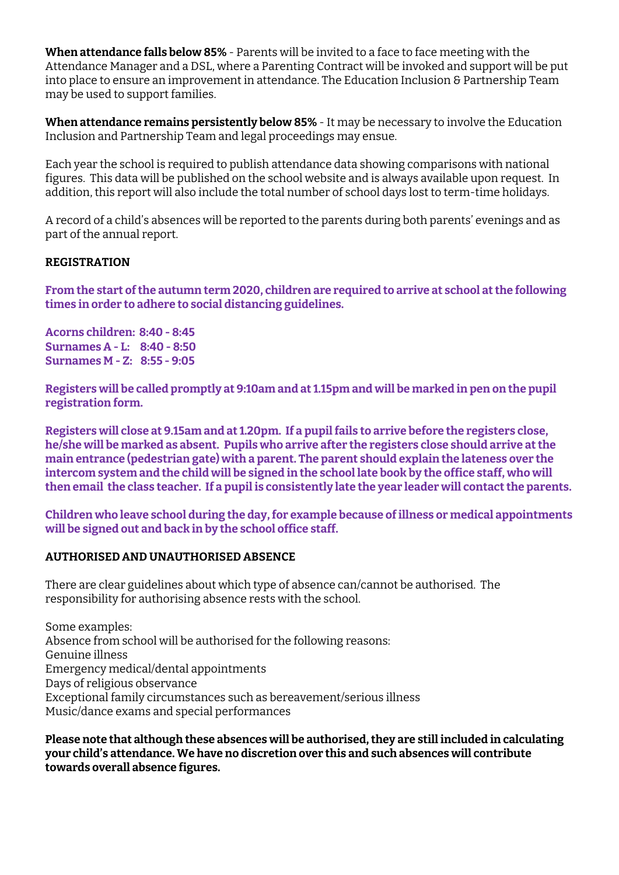**When attendance falls below 85%** - Parents will be invited to a face to face meeting with the Attendance Manager and a DSL, where a Parenting Contract will be invoked and support will be put into place to ensure an improvement in attendance. The Education Inclusion & Partnership Team may be used to support families.

**When attendance remains persistently below 85%** - It may be necessary to involve the Education Inclusion and Partnership Team and legal proceedings may ensue.

Each year the school is required to publish attendance data showing comparisons with national figures. This data will be published on the school website and is always available upon request. In addition, this report will also include the total number of school days lost to term-time holidays.

A record of a child's absences will be reported to the parents during both parents' evenings and as part of the annual report.

#### **REGISTRATION**

**From the start ofthe autumn term 2020, children are required to arrive at school atthe following times in order to adhere to social distancing guidelines.**

**Acorns children: 8:40 - 8:45 Surnames A - L: 8:40 - 8:50 Surnames M - Z: 8:55 - 9:05**

Registers will be called promptly at 9:10am and at 1.15pm and will be marked in pen on the pupil **registration form.**

**Registers will close at 9.15am and at 1.20pm. If a pupilfails to arrive before the registers close, he/she will be marked as absent. Pupils who arrive after the registers close should arrive atthe main entrance (pedestrian gate) with a parent. The parent should explain the lateness over the** intercom system and the child will be signed in the school late book by the office staff, who will **then email the class teacher. If a pupil is consistently late the year leader will contactthe parents.**

**Children who leave school during the day,for example because ofillness or medical appointments will be signed out and back in by the school office staff.**

# **AUTHORISED AND UNAUTHORISED ABSENCE**

There are clear guidelines about which type of absence can/cannot be authorised. The responsibility for authorising absence rests with the school.

Some examples: Absence from school will be authorised for the following reasons: Genuine illness Emergency medical/dental appointments Days of religious observance Exceptional family circumstances such as bereavement/serious illness Music/dance exams and special performances

**Please note that although these absences will be authorised,they are still included in calculating your child's attendance. We have no discretion over this and such absences will contribute towards overall absence figures.**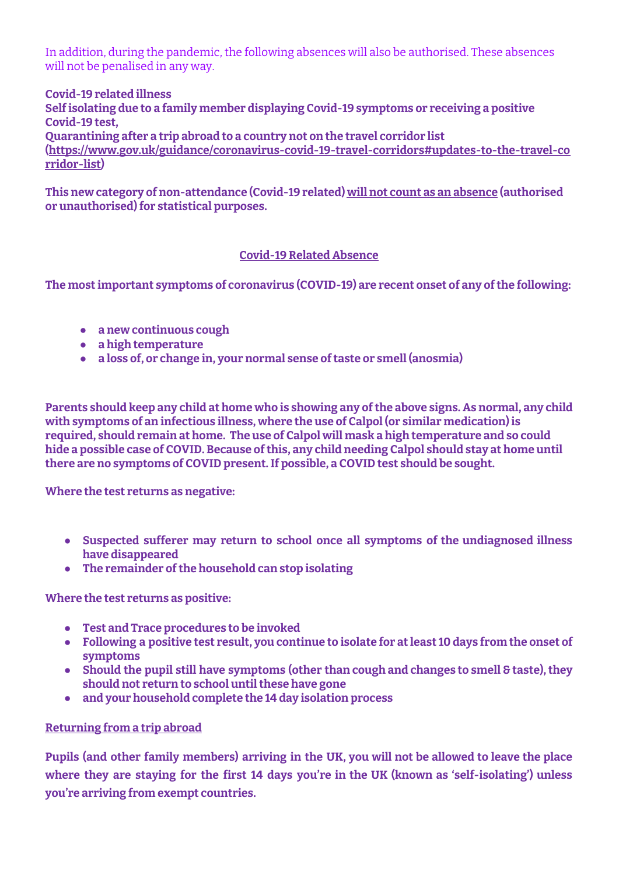In addition, during the pandemic, the following absences will also be authorised. These absences will not be penalised in any way.

**Covid-19 related illness Selfisolating due to a family member displaying Covid-19 symptoms or receiving a positive Covid-19 test, Quarantining after a trip abroad to a country not on the travel corridor list [\(https://www.gov.uk/guidance/coronavirus-covid-19-travel-corridors#updates-to-the-travel-co](https://www.gov.uk/guidance/coronavirus-covid-19-travel-corridors#updates-to-the-travel-corridor-list) [rridor-list\)](https://www.gov.uk/guidance/coronavirus-covid-19-travel-corridors#updates-to-the-travel-corridor-list)**

**This new category of non-attendance (Covid-19 related) will not count as an absence (authorised or unauthorised)for statistical purposes.**

# **Covid-19 Related Absence**

**The mostimportant symptoms of coronavirus (COVID-19) are recent onset of any ofthe following:**

- **● a new continuous cough**
- **● a high temperature**
- **● a loss of, or change in, your normal sense oftaste or smell (anosmia)**

**Parents should keep any child at home who is showing any ofthe above signs. As normal, any child with symptoms of an infectious illness, where the use of Calpol (or similar medication) is required, should remain at home. The use of Calpol will mask a high temperature and so could hide a possible case of COVID. Because ofthis, any child needing Calpol should stay at home until there are no symptoms of COVID present.If possible, a COVID test should be sought.**

**Where the test returns as negative:**

- **● Suspected sufferer may return to school once all symptoms of the undiagnosed illness have disappeared**
- **•** The remainder of the household can stop isolating

**Where the test returns as positive:**

- **● Test and Trace procedures to be invoked**
- **● Following a positive test result, you continue to isolate for atleast 10 days from the onset of symptoms**
- **● Should the pupil still have symptoms (other than cough and changes to smell & taste),they should not return to school untilthese have gone**
- **● and your household complete the 14 day isolation process**

# **Returning from a trip abroad**

**Pupils (and other family members) arriving in the UK, you will not be allowed to leave the place where they are staying for the first 14 days you're in the UK (known as 'self-isolating') unless you're arriving from exempt [countries](https://www.gov.uk/guidance/coronavirus-covid-19-travel-corridors).**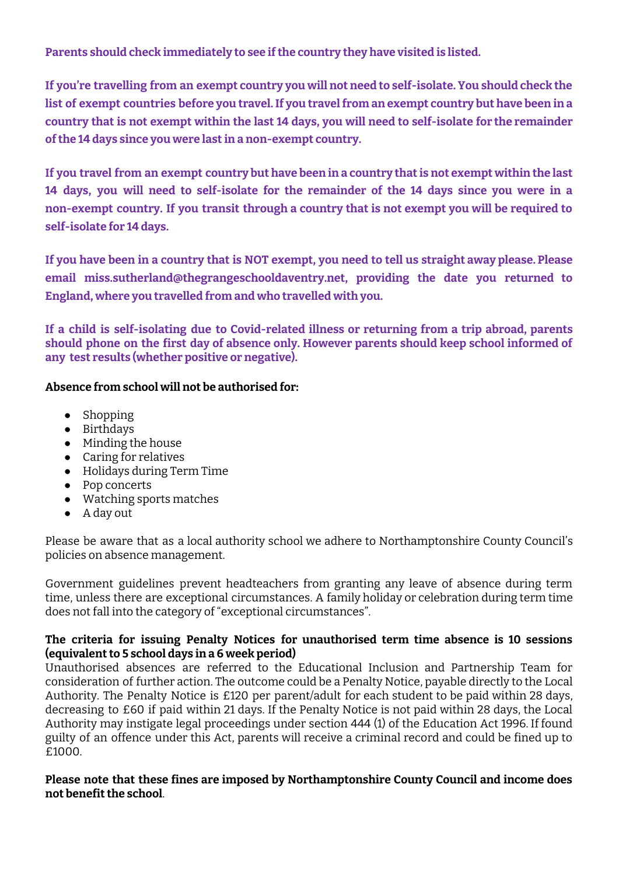**Parents should check immediately to see ifthe country they have visited is listed.**

**If you're travelling from an exempt country you will not need to self-isolate. You should check the list of exempt [countries](https://www.gov.uk/guidance/coronavirus-covid-19-travel-corridors) before you travel.If you travelfrom an exempt country but have been in a** country that is not exempt within the last 14 days, you will need to self-isolate for the remainder **ofthe 14 days since you were lastin a non-exempt country.**

If you travel from an exempt country but have been in a country that is not exempt within the last **14 days, you will need to self-isolate for the remainder of the 14 days since you were in a non-exempt country. If you transit through a country that is not exempt you will be required to self-isolate for 14 days.**

If you have been in a country that is NOT exempt, you need to tell us straight away please. Please **email miss.sutherland@thegrangeschooldaventry.net, providing the date you returned to England, where you travelled from and who travelled with you.**

**If a child is self-isolating due to Covid-related illness or returning from a trip abroad, parents should phone on the first day of absence only. However parents should keep school informed of any test results (whether positive or negative).**

# **Absence from school will not be authorised for:**

- Shopping
- Birthdays
- Minding the house
- Caring for relatives
- Holidays during Term Time
- Pop concerts
- Watching sports matches
- A day out

Please be aware that as a local authority school we adhere to Northamptonshire County Council's policies on absence management.

Government guidelines prevent headteachers from granting any leave of absence during term time, unless there are exceptional circumstances. A family holiday or celebration during term time does not fall into the category of "exceptional circumstances".

# **The criteria for issuing Penalty Notices for unauthorised term time absence is 10 sessions (equivalentto 5 school days in a 6 week period)**

Unauthorised absences are referred to the Educational Inclusion and Partnership Team for consideration of further action. The outcome could be a Penalty Notice, payable directly to the Local Authority. The Penalty Notice is £120 per parent/adult for each student to be paid within 28 days, decreasing to £60 if paid within 21 days. If the Penalty Notice is not paid within 28 days, the Local Authority may instigate legal proceedings under section 444 (1) of the Education Act 1996. If found guilty of an offence under this Act, parents will receive a criminal record and could be fined up to £1000.

# **Please note that these fines are imposed by Northamptonshire County Council and income does not benefitthe school**.